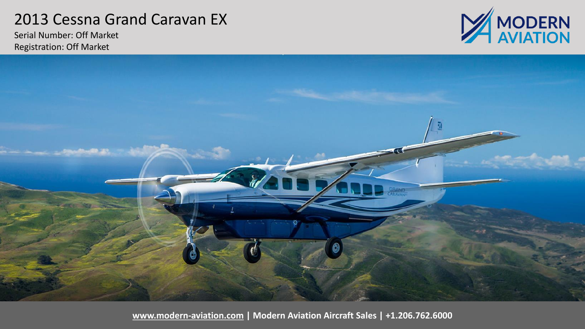## 2013 Cessna Grand Caravan EX

Serial Number: Off Market Registration: Off Market





**[www.modern-aviation.com](http://www.modern-aviation.com/) | Modern Aviation Aircraft Sales | +1.206.762.6000**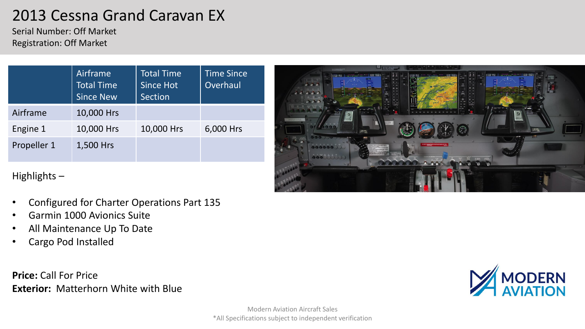# 2013 Cessna Grand Caravan EX

Serial Number: Off Market Registration: Off Market

|             | Airframe<br><b>Total Time</b><br><b>Since New</b> | <b>Total Time</b><br><b>Since Hot</b><br><b>Section</b> | <b>Time Since</b><br>Overhaul |
|-------------|---------------------------------------------------|---------------------------------------------------------|-------------------------------|
| Airframe    | 10,000 Hrs                                        |                                                         |                               |
| Engine 1    | 10,000 Hrs                                        | 10,000 Hrs                                              | 6,000 Hrs                     |
| Propeller 1 | 1,500 Hrs                                         |                                                         |                               |



Highlights –

- Configured for Charter Operations Part 135
- Garmin 1000 Avionics Suite
- All Maintenance Up To Date
- Cargo Pod Installed

**Price:** Call For Price **Exterior:** Matterhorn White with Blue

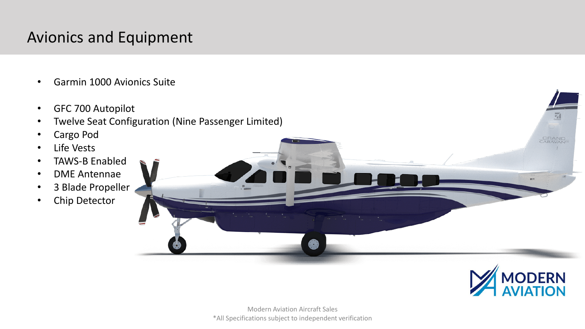# Avionics and Equipment

- Garmin 1000 Avionics Suite
- GFC 700 Autopilot
- Twelve Seat Configuration (Nine Passenger Limited)
- Cargo Pod
- Life Vests
- TAWS-B Enabled
- DME Antennae
- 3 Blade Propeller
- Chip Detector

Modern Aviation Aircraft Sales \*All Specifications subject to independent verification



GRAND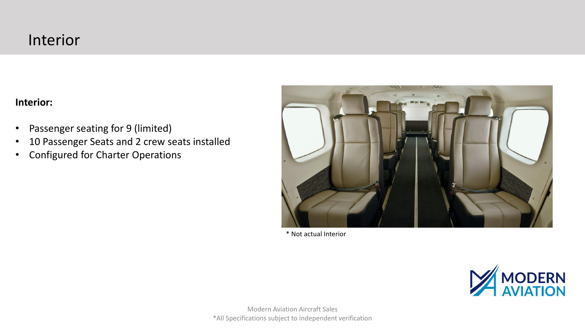### Interior

### **Interior:**

- Passenger seating for 9 (limited)
- 10 Passenger Seats and 2 crew seats installed
- Configured for Charter Operations



\* Not actual Interior

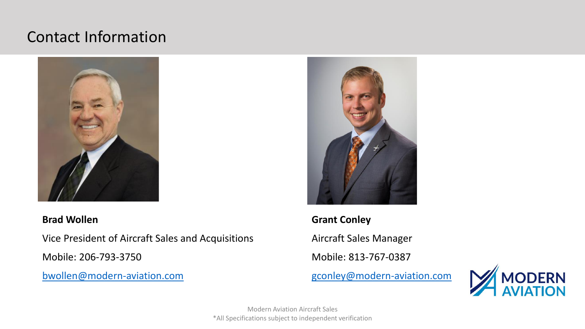## Contact Information



### **Brad Wollen**

Vice President of Aircraft Sales and Acquisitions

Mobile: 206-793-3750

[bwollen@modern-aviation.com](mailto:bwollen@modern-avialtion.com)



**Grant Conley** Aircraft Sales Manager Mobile: 813-767-0387





Modern Aviation Aircraft Sales \*All Specifications subject to independent verification